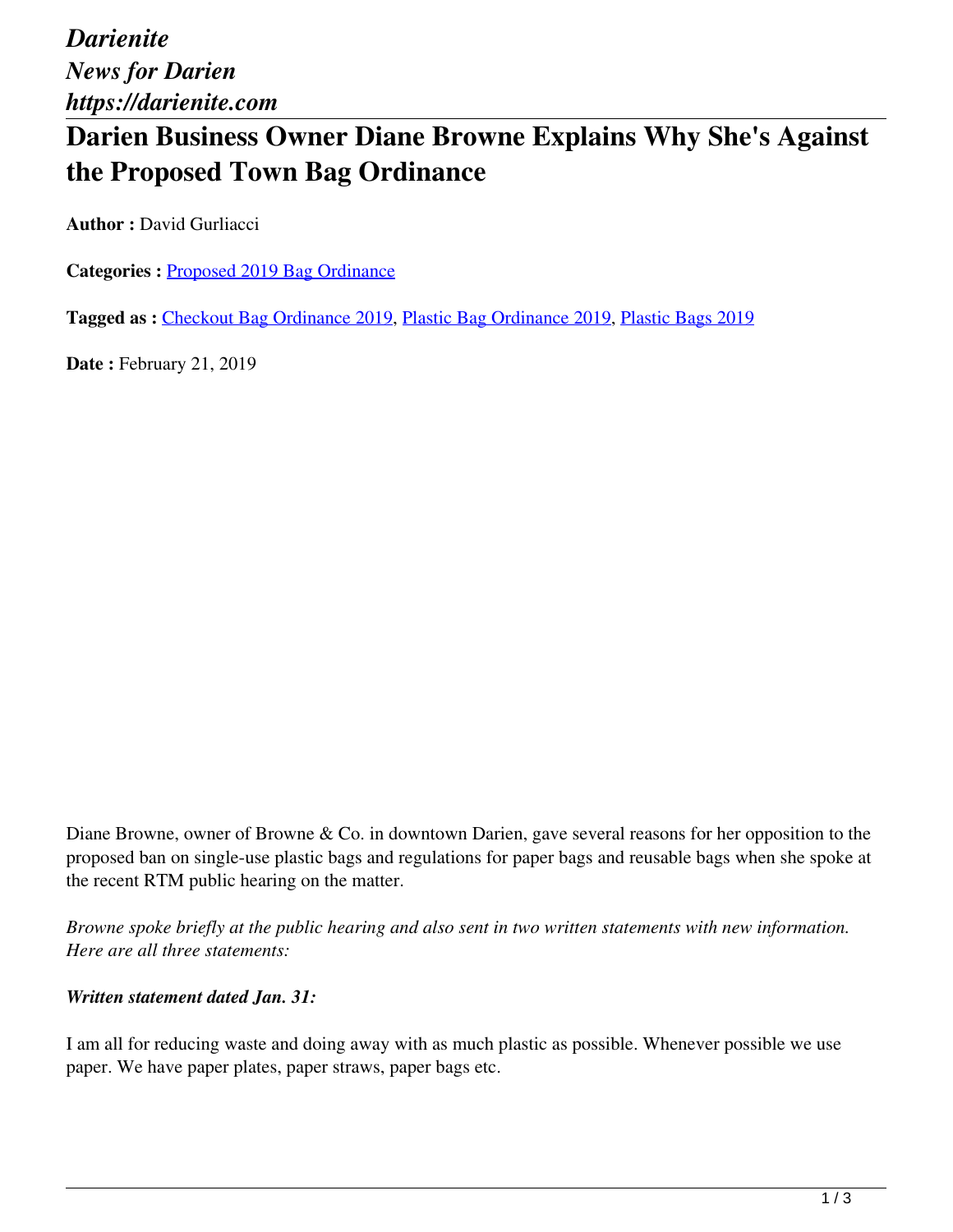*Darienite News for Darien https://darienite.com*

# **Darien Business Owner Diane Browne Explains Why She's Against the Proposed Town Bag Ordinance**

**Author : David Gurliacci** 

**Categories :** [Proposed 2019 Bag Ordinance](https://darienite.com/category/news/government-politics/proposed-2019-bag-ordinance)

**Tagged as :** Checkout Bag Ordinance 2019, Plastic Bag Ordinance 2019, Plastic Bags 2019

**Date : February 21, 2019** 

Diane Browne, owner of Browne & Co. in downtown Darien, gave several reasons for her opposition to the proposed ban on single-use plastic bags and regulations for paper bags and reusable bags when she spoke at the recent RTM public hearing on the matter.

*Browne spoke briefly at the public hearing and also sent in two written statements with new information. Here are all three statements:*

#### *Written statement dated Jan. 31:*

I am all for reducing waste and doing away with as much plastic as possible. Whenever possible we use paper. We have paper plates, paper straws, paper bags etc.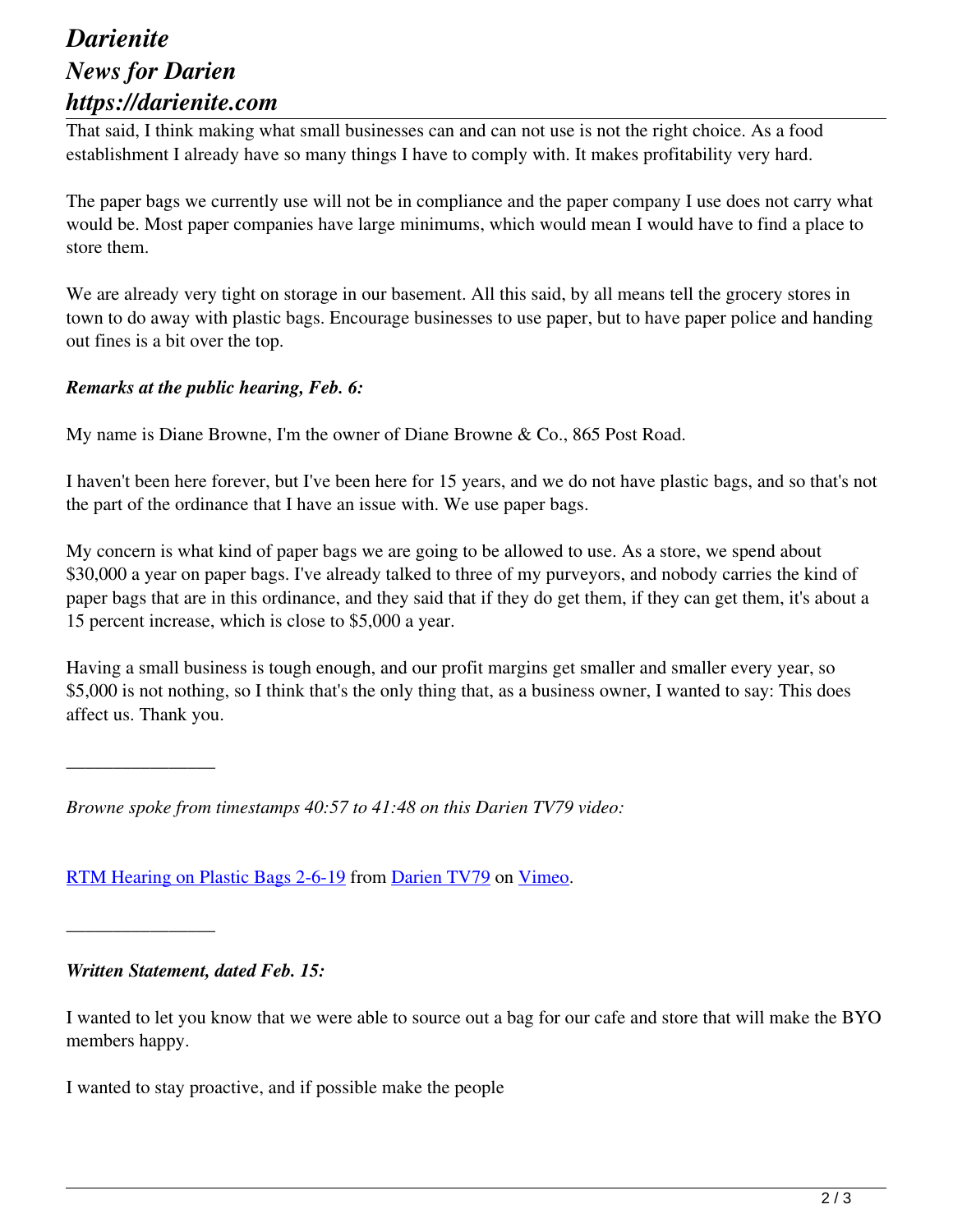### *Darienite News for Darien https://darienite.com*

That said, I think making what small businesses can and can not use is not the right choice. As a food establishment I already have so many things I have to comply with. It makes profitability very hard.

The paper bags we currently use will not be in compliance and the paper company I use does not carry what would be. Most paper companies have large minimums, which would mean I would have to find a place to store them.

We are already very tight on storage in our basement. All this said, by all means tell the grocery stores in town to do away with plastic bags. Encourage businesses to use paper, but to have paper police and handing out fines is a bit over the top.

### *Remarks at the public hearing, Feb. 6:*

My name is Diane Browne, I'm the owner of Diane Browne & Co., 865 Post Road.

I haven't been here forever, but I've been here for 15 years, and we do not have plastic bags, and so that's not the part of the ordinance that I have an issue with. We use paper bags.

My concern is what kind of paper bags we are going to be allowed to use. As a store, we spend about \$30,000 a year on paper bags. I've already talked to three of my purveyors, and nobody carries the kind of paper bags that are in this ordinance, and they said that if they do get them, if they can get them, it's about a 15 percent increase, which is close to \$5,000 a year.

Having a small business is tough enough, and our profit margins get smaller and smaller every year, so \$5,000 is not nothing, so I think that's the only thing that, as a business owner, I wanted to say: This does affect us. Thank you.

*Browne spoke from timestamps 40:57 to 41:48 on this Darien TV79 video:*

RTM Hearing on Plastic Bags 2-6-19 from Darien TV79 on Vimeo.

#### *Written Statement, dated Feb. 15:*

\_\_\_\_\_\_\_\_\_\_\_\_\_\_\_\_

\_\_\_\_\_\_\_\_\_\_\_\_\_\_\_\_

I wanted to let you know that we were able to source out a bag for our cafe and store that will make the BYO members happy.

I wanted to stay proactive, and if possible make the people